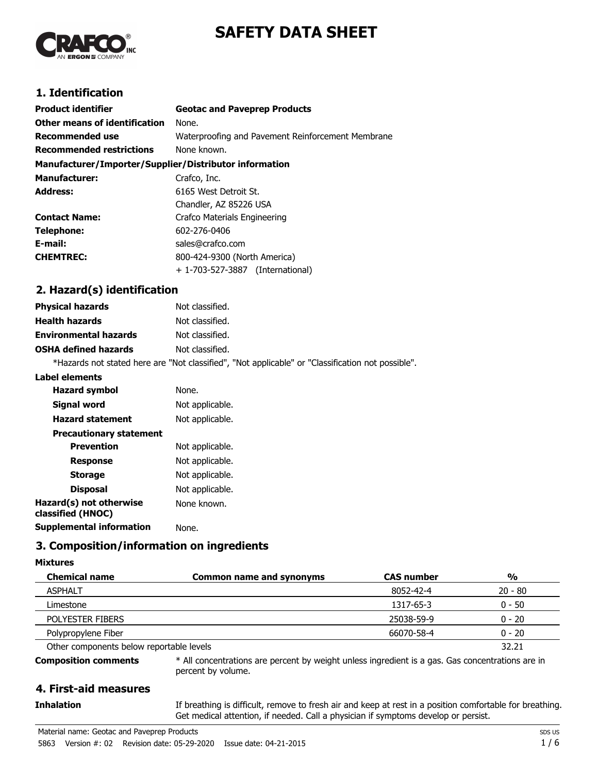



# **1. Identification**

| <b>Product identifier</b>                              | <b>Geotac and Paveprep Products</b>               |
|--------------------------------------------------------|---------------------------------------------------|
| Other means of identification                          | None.                                             |
| Recommended use                                        | Waterproofing and Pavement Reinforcement Membrane |
| <b>Recommended restrictions</b>                        | None known.                                       |
| Manufacturer/Importer/Supplier/Distributor information |                                                   |
| <b>Manufacturer:</b>                                   | Crafco, Inc.                                      |
| <b>Address:</b>                                        | 6165 West Detroit St.                             |
|                                                        | Chandler, AZ 85226 USA                            |
| <b>Contact Name:</b>                                   | Crafco Materials Engineering                      |
| Telephone:                                             | 602-276-0406                                      |
| E-mail:                                                | sales@crafco.com                                  |
| <b>CHEMTREC:</b>                                       | 800-424-9300 (North America)                      |
|                                                        | + 1-703-527-3887 (International)                  |

# **2. Hazard(s) identification**

| <b>Physical hazards</b>      | Not classified.                                                                                   |
|------------------------------|---------------------------------------------------------------------------------------------------|
| <b>Health hazards</b>        | Not classified.                                                                                   |
| <b>Environmental hazards</b> | Not classified.                                                                                   |
| <b>OSHA defined hazards</b>  | Not classified.                                                                                   |
|                              | *Hazards not stated here are "Not classified", "Not applicable" or "Classification not possible". |

#### **Label elements**

| <b>Hazard symbol</b>                         | None.           |
|----------------------------------------------|-----------------|
| Signal word                                  | Not applicable. |
| <b>Hazard statement</b>                      | Not applicable. |
| <b>Precautionary statement</b>               |                 |
| <b>Prevention</b>                            | Not applicable. |
| Response                                     | Not applicable. |
| <b>Storage</b>                               | Not applicable. |
| <b>Disposal</b>                              | Not applicable. |
| Hazard(s) not otherwise<br>classified (HNOC) | None known.     |
| Supplemental information                     | None.           |
|                                              |                 |

# **3. Composition/information on ingredients**

#### **Mixtures**

**Inhalation**

| <b>Chemical name</b>                     | <b>Common name and synonyms</b> | <b>CAS number</b> | $\frac{0}{0}$ |
|------------------------------------------|---------------------------------|-------------------|---------------|
| <b>ASPHALT</b>                           |                                 | 8052-42-4         | $20 - 80$     |
| Limestone                                |                                 | 1317-65-3         | $0 - 50$      |
| POLYESTER FIBERS                         |                                 | 25038-59-9        | $0 - 20$      |
| Polypropylene Fiber                      |                                 | 66070-58-4        | $0 - 20$      |
| Other components below reportable levels |                                 |                   | 32.21         |

**Composition comments**

\* All concentrations are percent by weight unless ingredient is a gas. Gas concentrations are in percent by volume.

# **4. First-aid measures**

If breathing is difficult, remove to fresh air and keep at rest in a position comfortable for breathing. Get medical attention, if needed. Call a physician if symptoms develop or persist.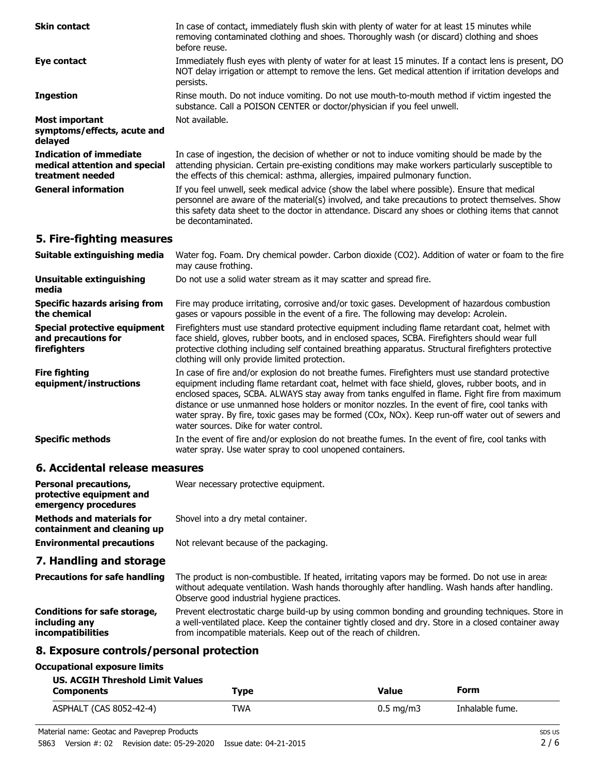| <b>Skin contact</b>                                                                 | In case of contact, immediately flush skin with plenty of water for at least 15 minutes while<br>removing contaminated clothing and shoes. Thoroughly wash (or discard) clothing and shoes<br>before reuse.                                                                                                                    |
|-------------------------------------------------------------------------------------|--------------------------------------------------------------------------------------------------------------------------------------------------------------------------------------------------------------------------------------------------------------------------------------------------------------------------------|
| Eye contact                                                                         | Immediately flush eyes with plenty of water for at least 15 minutes. If a contact lens is present, DO<br>NOT delay irrigation or attempt to remove the lens. Get medical attention if irritation develops and<br>persists.                                                                                                     |
| <b>Ingestion</b>                                                                    | Rinse mouth. Do not induce vomiting. Do not use mouth-to-mouth method if victim ingested the<br>substance. Call a POISON CENTER or doctor/physician if you feel unwell.                                                                                                                                                        |
| <b>Most important</b><br>symptoms/effects, acute and<br>delayed                     | Not available.                                                                                                                                                                                                                                                                                                                 |
| <b>Indication of immediate</b><br>medical attention and special<br>treatment needed | In case of ingestion, the decision of whether or not to induce vomiting should be made by the<br>attending physician. Certain pre-existing conditions may make workers particularly susceptible to<br>the effects of this chemical: asthma, allergies, impaired pulmonary function.                                            |
| <b>General information</b>                                                          | If you feel unwell, seek medical advice (show the label where possible). Ensure that medical<br>personnel are aware of the material(s) involved, and take precautions to protect themselves. Show<br>this safety data sheet to the doctor in attendance. Discard any shoes or clothing items that cannot<br>be decontaminated. |
| 5. Fire-fighting measures                                                           |                                                                                                                                                                                                                                                                                                                                |
| Suitable extinguishing media                                                        | Water fog. Foam. Dry chemical powder. Carbon dioxide (CO2). Addition of water or foam to the fire<br>may cause frothing.                                                                                                                                                                                                       |
| <b>Unsuitable extinguishing</b><br>media                                            | Do not use a solid water stream as it may scatter and spread fire.                                                                                                                                                                                                                                                             |
| <b>Specific hazards arising from</b><br>the chemical                                | Fire may produce irritating, corrosive and/or toxic gases. Development of hazardous combustion<br>gases or vapours possible in the event of a fire. The following may develop: Acrolein.                                                                                                                                       |

Firefighters must use standard protective equipment including flame retardant coat, helmet with face shield, gloves, rubber boots, and in enclosed spaces, SCBA. Firefighters should wear full protective clothing including self contained breathing apparatus. Structural firefighters protective clothing will only provide limited protection. **Special protective equipment and precautions for firefighters**

In case of fire and/or explosion do not breathe fumes. Firefighters must use standard protective equipment including flame retardant coat, helmet with face shield, gloves, rubber boots, and in enclosed spaces, SCBA. ALWAYS stay away from tanks engulfed in flame. Fight fire from maximum distance or use unmanned hose holders or monitor nozzles. In the event of fire, cool tanks with water spray. By fire, toxic gases may be formed (COx, NOx). Keep run-off water out of sewers and water sources. Dike for water control. **Fire fighting equipment/instructions**

In the event of fire and/or explosion do not breathe fumes. In the event of fire, cool tanks with water spray. Use water spray to cool unopened containers. **Specific methods**

### **6. Accidental release measures**

| <b>Personal precautions,</b><br>protective equipment and<br>emergency procedures | Wear necessary protective equipment.   |
|----------------------------------------------------------------------------------|----------------------------------------|
| <b>Methods and materials for</b><br>containment and cleaning up                  | Shovel into a dry metal container.     |
| <b>Environmental precautions</b>                                                 | Not relevant because of the packaging. |

# **7. Handling and storage**

The product is non-combustible. If heated, irritating vapors may be formed. Do not use in areas without adequate ventilation. Wash hands thoroughly after handling. Wash hands after handling. Observe good industrial hygiene practices. **Precautions for safe handling** Prevent electrostatic charge build-up by using common bonding and grounding techniques. Store in a well-ventilated place. Keep the container tightly closed and dry. Store in a closed container away from incompatible materials. Keep out of the reach of children. **Conditions for safe storage, including any incompatibilities**

# **8. Exposure controls/personal protection**

#### **Occupational exposure limits**

| <b>US. ACGIH Threshold Limit Values</b> |            |                    |                 |
|-----------------------------------------|------------|--------------------|-----------------|
| <b>Components</b>                       | Type       | Value              | Form            |
| ASPHALT (CAS 8052-42-4)                 | <b>TWA</b> | $0.5 \text{ mg/m}$ | Inhalable fume. |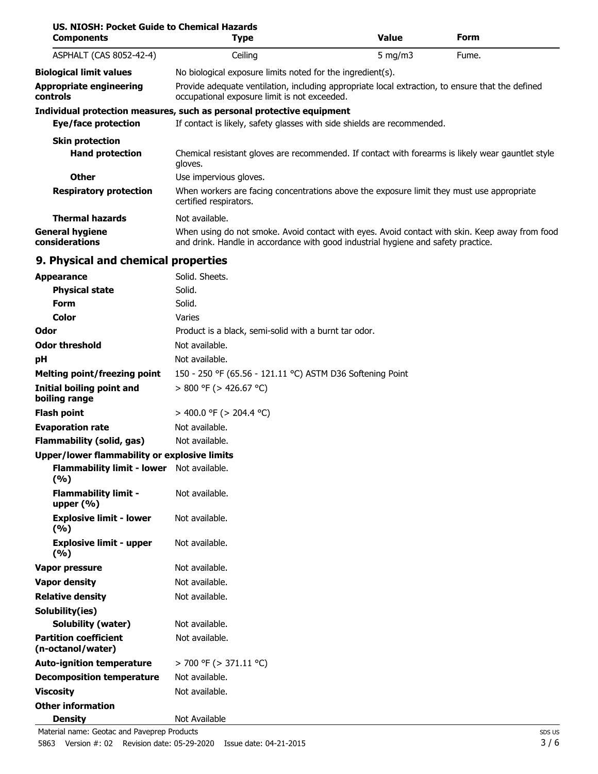| US, NIOSH: Pocket Guide to Chemical Hazards<br><b>Components</b> | <b>Type</b>                                                                                                                                                                         | <b>Value</b> | Form  |
|------------------------------------------------------------------|-------------------------------------------------------------------------------------------------------------------------------------------------------------------------------------|--------------|-------|
| ASPHALT (CAS 8052-42-4)                                          | Ceiling                                                                                                                                                                             | 5 mg/m $3$   | Fume. |
| <b>Biological limit values</b>                                   | No biological exposure limits noted for the ingredient(s).                                                                                                                          |              |       |
| <b>Appropriate engineering</b><br>controls                       | Provide adequate ventilation, including appropriate local extraction, to ensure that the defined<br>occupational exposure limit is not exceeded.                                    |              |       |
|                                                                  | Individual protection measures, such as personal protective equipment                                                                                                               |              |       |
| <b>Eye/face protection</b>                                       | If contact is likely, safety glasses with side shields are recommended.                                                                                                             |              |       |
| <b>Skin protection</b><br><b>Hand protection</b>                 | Chemical resistant gloves are recommended. If contact with forearms is likely wear gauntlet style<br>gloves.                                                                        |              |       |
| <b>Other</b>                                                     | Use impervious gloves.                                                                                                                                                              |              |       |
| <b>Respiratory protection</b>                                    | When workers are facing concentrations above the exposure limit they must use appropriate<br>certified respirators.                                                                 |              |       |
| <b>Thermal hazards</b>                                           | Not available.                                                                                                                                                                      |              |       |
| <b>General hygiene</b><br>considerations                         | When using do not smoke. Avoid contact with eyes. Avoid contact with skin. Keep away from food<br>and drink. Handle in accordance with good industrial hygiene and safety practice. |              |       |
| 9. Physical and chemical properties                              |                                                                                                                                                                                     |              |       |
| <b>Appearance</b>                                                | Solid. Sheets.                                                                                                                                                                      |              |       |
| <b>Physical state</b>                                            | Solid.                                                                                                                                                                              |              |       |
| <b>Form</b>                                                      | Solid.                                                                                                                                                                              |              |       |
| Color                                                            | Varies                                                                                                                                                                              |              |       |
| Odor                                                             | Product is a black, semi-solid with a burnt tar odor.                                                                                                                               |              |       |
| <b>Odor threshold</b>                                            | Not available.                                                                                                                                                                      |              |       |
| pH                                                               | Not available.                                                                                                                                                                      |              |       |
| <b>Melting point/freezing point</b>                              | 150 - 250 °F (65.56 - 121.11 °C) ASTM D36 Softening Point                                                                                                                           |              |       |
| <b>Initial boiling point and</b><br>boiling range                | $> 800$ °F ( $> 426.67$ °C)                                                                                                                                                         |              |       |
| <b>Flash point</b>                                               | > 400.0 °F (> 204.4 °C)                                                                                                                                                             |              |       |
| <b>Evaporation rate</b>                                          | Not available.                                                                                                                                                                      |              |       |
| <b>Flammability (solid, gas)</b>                                 | Not available.                                                                                                                                                                      |              |       |
| Upper/lower flammability or explosive limits                     |                                                                                                                                                                                     |              |       |
| Flammability limit - lower Not available.<br>(%)                 |                                                                                                                                                                                     |              |       |
| <b>Flammability limit -</b><br>upper $(% )$                      | Not available.                                                                                                                                                                      |              |       |
| <b>Explosive limit - lower</b><br>(%)                            | Not available.                                                                                                                                                                      |              |       |
| <b>Explosive limit - upper</b><br>(9/6)                          | Not available.                                                                                                                                                                      |              |       |
| Vapor pressure                                                   | Not available.                                                                                                                                                                      |              |       |
| <b>Vapor density</b>                                             | Not available.                                                                                                                                                                      |              |       |
| <b>Relative density</b>                                          | Not available.                                                                                                                                                                      |              |       |
| Solubility(ies)                                                  |                                                                                                                                                                                     |              |       |
| <b>Solubility (water)</b>                                        | Not available.                                                                                                                                                                      |              |       |
| <b>Partition coefficient</b><br>(n-octanol/water)                | Not available.                                                                                                                                                                      |              |       |
| <b>Auto-ignition temperature</b>                                 | $>$ 700 °F ( $>$ 371.11 °C)                                                                                                                                                         |              |       |
| <b>Decomposition temperature</b>                                 | Not available.                                                                                                                                                                      |              |       |
| <b>Viscosity</b>                                                 | Not available.                                                                                                                                                                      |              |       |

**Other information**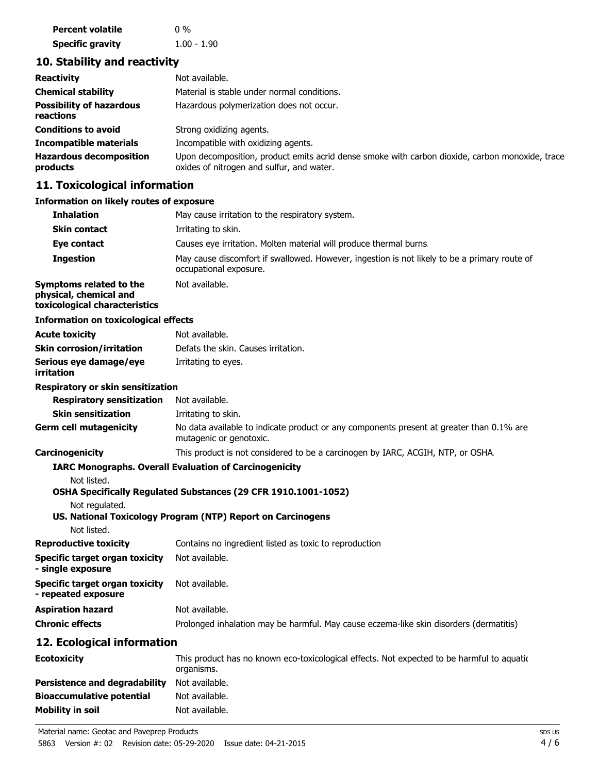| <b>Percent volatile</b> | $0\%$         |
|-------------------------|---------------|
| <b>Specific gravity</b> | $1.00 - 1.90$ |

# **10. Stability and reactivity**

| <b>Reactivity</b>                            | Not available.                                                                                                                               |
|----------------------------------------------|----------------------------------------------------------------------------------------------------------------------------------------------|
| <b>Chemical stability</b>                    | Material is stable under normal conditions.                                                                                                  |
| <b>Possibility of hazardous</b><br>reactions | Hazardous polymerization does not occur.                                                                                                     |
| <b>Conditions to avoid</b>                   | Strong oxidizing agents.                                                                                                                     |
| <b>Incompatible materials</b>                | Incompatible with oxidizing agents.                                                                                                          |
| <b>Hazardous decomposition</b><br>products   | Upon decomposition, product emits acrid dense smoke with carbon dioxide, carbon monoxide, trace<br>oxides of nitrogen and sulfur, and water. |

# **11. Toxicological information**

# **Information on likely routes of exposure**

| <b>Inhalation</b>                                                                  | May cause irritation to the respiratory system.                                                                        |
|------------------------------------------------------------------------------------|------------------------------------------------------------------------------------------------------------------------|
| <b>Skin contact</b>                                                                | Irritating to skin.                                                                                                    |
| Eye contact                                                                        | Causes eye irritation. Molten material will produce thermal burns.                                                     |
| <b>Ingestion</b>                                                                   | May cause discomfort if swallowed. However, ingestion is not likely to be a primary route of<br>occupational exposure. |
| Symptoms related to the<br>physical, chemical and<br>toxicological characteristics | Not available.                                                                                                         |
| <b>Information on toxicological effects</b>                                        |                                                                                                                        |
| <b>Acute toxicity</b>                                                              | Not available.                                                                                                         |
| <b>Skin corrosion/irritation</b>                                                   | Defats the skin. Causes irritation.                                                                                    |
| Serious eye damage/eye<br>irritation                                               | Irritating to eyes.                                                                                                    |
| <b>Respiratory or skin sensitization</b>                                           |                                                                                                                        |
| <b>Respiratory sensitization</b>                                                   | Not available.                                                                                                         |
| <b>Skin sensitization</b>                                                          | Irritating to skin.                                                                                                    |
| <b>Germ cell mutagenicity</b>                                                      | No data available to indicate product or any components present at greater than 0.1% are<br>mutagenic or genotoxic.    |
| Carcinogenicity                                                                    | This product is not considered to be a carcinogen by IARC, ACGIH, NTP, or OSHA.                                        |
|                                                                                    | <b>IARC Monographs. Overall Evaluation of Carcinogenicity</b>                                                          |
| Not listed.                                                                        |                                                                                                                        |
|                                                                                    | OSHA Specifically Regulated Substances (29 CFR 1910.1001-1052)                                                         |
| Not regulated.                                                                     | US. National Toxicology Program (NTP) Report on Carcinogens                                                            |
| Not listed.                                                                        |                                                                                                                        |
| <b>Reproductive toxicity</b>                                                       | Contains no ingredient listed as toxic to reproduction                                                                 |
| <b>Specific target organ toxicity</b><br>- single exposure                         | Not available.                                                                                                         |
| <b>Specific target organ toxicity</b><br>- repeated exposure                       | Not available.                                                                                                         |
| <b>Aspiration hazard</b>                                                           | Not available.                                                                                                         |
| <b>Chronic effects</b>                                                             | Prolonged inhalation may be harmful. May cause eczema-like skin disorders (dermatitis)                                 |
| 12. Ecological information                                                         |                                                                                                                        |
| <b>Ecotoxicity</b>                                                                 | This product has no known eco-toxicological effects. Not expected to be harmful to aquation<br>organisms.              |
| <b>Persistence and degradability</b>                                               | Not available.                                                                                                         |

**Bioaccumulative potential** Not available. **Mobility in soil** Not available.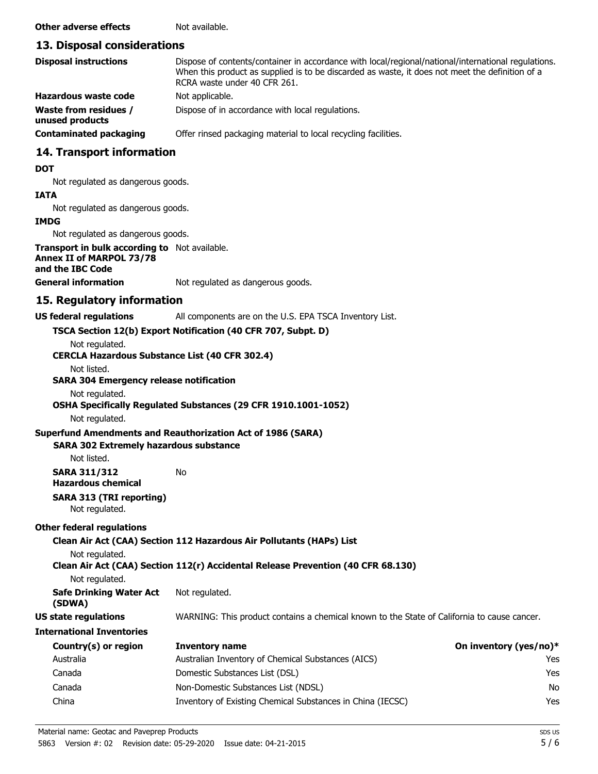**Other adverse effects** Not available.

## **13. Disposal considerations**

| <b>Disposal instructions</b>                    | Dispose of contents/container in accordance with local/regional/national/international regulations.<br>When this product as supplied is to be discarded as waste, it does not meet the definition of a<br>RCRA waste under 40 CFR 261. |
|-------------------------------------------------|----------------------------------------------------------------------------------------------------------------------------------------------------------------------------------------------------------------------------------------|
| Hazardous waste code                            | Not applicable.                                                                                                                                                                                                                        |
| <b>Waste from residues /</b><br>unused products | Dispose of in accordance with local regulations.                                                                                                                                                                                       |
| <b>Contaminated packaging</b>                   | Offer rinsed packaging material to local recycling facilities.                                                                                                                                                                         |

# **14. Transport information**

#### **DOT**

Not regulated as dangerous goods.

#### **IATA**

Not regulated as dangerous goods.

#### **IMDG**

Not regulated as dangerous goods.

**Transport in bulk according to** Not available. **Annex II of MARPOL 73/78 and the IBC Code**

**General information** Not regulated as dangerous goods.

# **15. Regulatory information**

**US federal regulations** All components are on the U.S. EPA TSCA Inventory List.

#### **TSCA Section 12(b) Export Notification (40 CFR 707, Subpt. D)**

Not regulated.

#### **CERCLA Hazardous Substance List (40 CFR 302.4)**

## Not listed.

#### **SARA 304 Emergency release notification**

Not regulated.

#### **OSHA Specifically Regulated Substances (29 CFR 1910.1001-1052)**

Not regulated.

#### **Superfund Amendments and Reauthorization Act of 1986 (SARA)**

#### **SARA 302 Extremely hazardous substance**

Not listed.

**SARA 311/312** No **Hazardous chemical**

**SARA 313 (TRI reporting)** Not regulated.

### **Other federal regulations**

**Clean Air Act (CAA) Section 112 Hazardous Air Pollutants (HAPs) List**

Not regulated.

# **Clean Air Act (CAA) Section 112(r) Accidental Release Prevention (40 CFR 68.130)**

Not regulated.

**Safe Drinking Water Act** Not regulated. **(SDWA)**

**US state regulations** WARNING: This product contains a chemical known to the State of California to cause cancer.

#### **International Inventories**

| Country(s) or region | <b>Inventory name</b>                                      | On inventory (yes/no)* |
|----------------------|------------------------------------------------------------|------------------------|
| Australia            | Australian Inventory of Chemical Substances (AICS)         | Yes                    |
| Canada               | Domestic Substances List (DSL)                             | Yes                    |
| Canada               | Non-Domestic Substances List (NDSL)                        | No                     |
| China                | Inventory of Existing Chemical Substances in China (IECSC) | Yes                    |